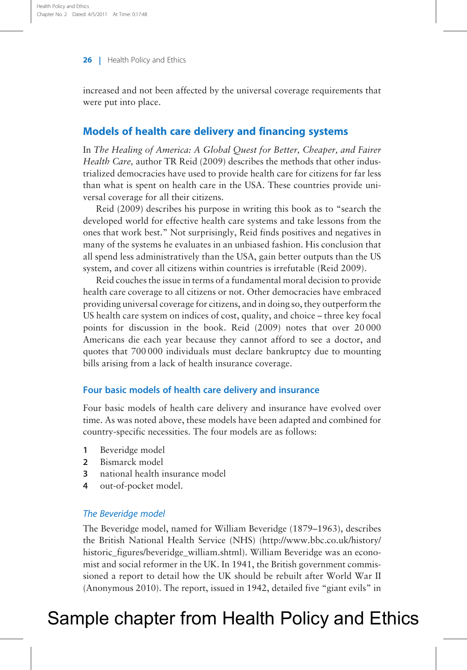increased and not been affected by the universal coverage requirements that were put into place.

### Models of health care delivery and financing systems

In The Healing of America: A Global Quest for Better, Cheaper, and Fairer Health Care, author TR [Reid \(2009\)](#page-21-0) describes the methods that other industrialized democracies have used to provide health care for citizens for far less than what is spent on health care in the USA. These countries provide universal coverage for all their citizens.

[Reid \(2009\)](#page-21-0) describes his purpose in writing this book as to "search the developed world for effective health care systems and take lessons from the ones that work best." Not surprisingly, Reid finds positives and negatives in many of the systems he evaluates in an unbiased fashion. His conclusion that all spend less administratively than the USA, gain better outputs than the US system, and cover all citizens within countries is irrefutable ([Reid 2009\)](#page-21-0).

Reid couches the issue in terms of a fundamental moral decision to provide health care coverage to all citizens or not. Other democracies have embraced providing universal coverage for citizens, and in doing so, they outperform the US health care system on indices of cost, quality, and choice – three key focal points for discussion in the book. [Reid \(2009\)](#page-21-0) notes that over 20 000 Americans die each year because they cannot afford to see a doctor, and quotes that 700 000 individuals must declare bankruptcy due to mounting bills arising from a lack of health insurance coverage.

#### Four basic models of health care delivery and insurance

Four basic models of health care delivery and insurance have evolved over time. As was noted above, these models have been adapted and combined for country-specific necessities. The four models are as follows:

- 1 Beveridge model
- 2 Bismarck model
- 3 national health insurance model
- 4 out-of-pocket model.

#### The Beveridge model

The Beveridge model, named for William Beveridge (1879–1963), describes the British National Health Service (NHS) (http://www.bbc.co.uk/history/ historic\_figures/beveridge\_william.shtml). William Beveridge was an economist and social reformer in the UK. In 1941, the British government commissioned a report to detail how the UK should be rebuilt after World War II ([Anonymous 2010](#page-20-0)). The report, issued in 1942, detailed five "giant evils" in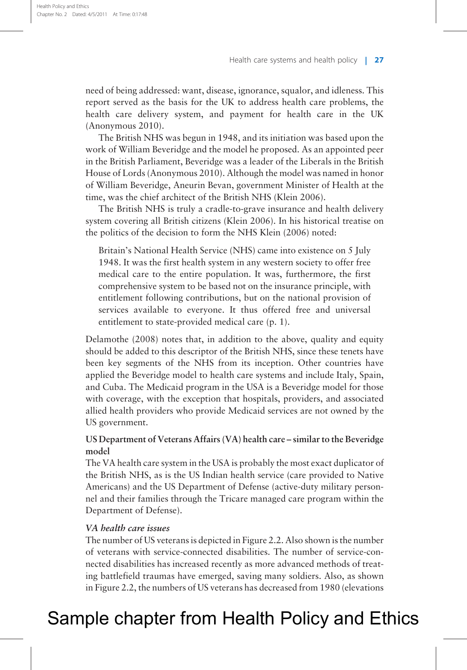need of being addressed: want, disease, ignorance, squalor, and idleness. This report served as the basis for the UK to address health care problems, the health care delivery system, and payment for health care in the UK ([Anonymous 2010](#page-20-0)).

The British NHS was begun in 1948, and its initiation was based upon the work of William Beveridge and the model he proposed. As an appointed peer in the British Parliament, Beveridge was a leader of the Liberals in the British House of Lords ([Anonymous 2010\)](#page-20-0). Although the model was named in honor of William Beveridge, Aneurin Bevan, government Minister of Health at the time, was the chief architect of the British NHS [\(Klein 2006\)](#page-20-0).

The British NHS is truly a cradle-to-grave insurance and health delivery system covering all British citizens ([Klein 2006](#page-20-0)). In his historical treatise on the politics of the decision to form the NHS [Klein \(2006\)](#page-20-0) noted:

Britain's National Health Service (NHS) came into existence on 5 July 1948. It was the first health system in any western society to offer free medical care to the entire population. It was, furthermore, the first comprehensive system to be based not on the insurance principle, with entitlement following contributions, but on the national provision of services available to everyone. It thus offered free and universal entitlement to state-provided medical care (p. 1).

[Delamothe \(2008\)](#page-20-0) notes that, in addition to the above, quality and equity should be added to this descriptor of the British NHS, since these tenets have been key segments of the NHS from its inception. Other countries have applied the Beveridge model to health care systems and include Italy, Spain, and Cuba. The Medicaid program in the USA is a Beveridge model for those with coverage, with the exception that hospitals, providers, and associated allied health providers who provide Medicaid services are not owned by the US government.

### US Department of Veterans Affairs (VA) health care – similar to the Beveridge model

The VA health care system in the USA is probably the most exact duplicator of the British NHS, as is the US Indian health service (care provided to Native Americans) and the US Department of Defense (active-duty military personnel and their families through the Tricare managed care program within the Department of Defense).

#### VA health care issues

The number of US veterans is depicted in [Figure 2.2](#page-4-0). Also shown is the number of veterans with service-connected disabilities. The number of service-connected disabilities has increased recently as more advanced methods of treating battlefield traumas have emerged, saving many soldiers. Also, as shown in [Figure 2.2](#page-4-0), the numbers of US veterans has decreased from 1980 (elevations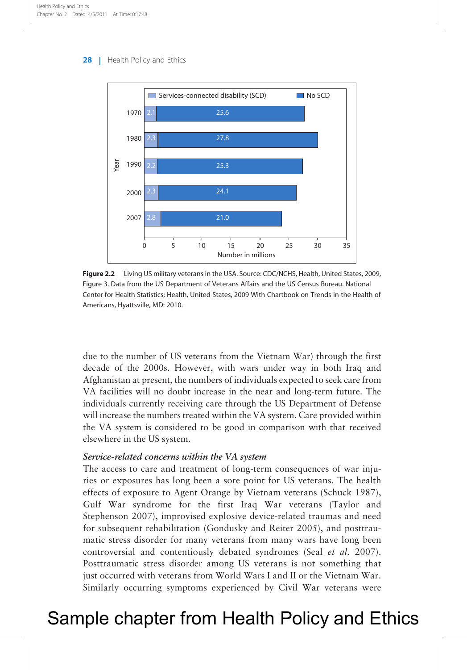<span id="page-4-0"></span>

Figure 2.2 Living US military veterans in the USA. Source: CDC/NCHS, Health, United States, 2009, Figure 3. Data from the US Department of Veterans Affairs and the US Census Bureau. National Center for Health Statistics; Health, United States, 2009 With Chartbook on Trends in the Health of Americans, Hyattsville, MD: 2010.

due to the number of US veterans from the Vietnam War) through the first decade of the 2000s. However, with wars under way in both Iraq and Afghanistan at present, the numbers of individuals expected to seek care from VA facilities will no doubt increase in the near and long-term future. The individuals currently receiving care through the US Department of Defense will increase the numbers treated within the VA system. Care provided within the VA system is considered to be good in comparison with that received elsewhere in the US system.

#### Service-related concerns within the VA system

The access to care and treatment of long-term consequences of war injuries or exposures has long been a sore point for US veterans. The health effects of exposure to Agent Orange by Vietnam veterans [\(Schuck 1987](#page-21-0)), Gulf War syndrome for the first Iraq War veterans [\(Taylor and](#page-21-0) [Stephenson 2007](#page-21-0)), improvised explosive device-related traumas and need for subsequent rehabilitation ([Gondusky and Reiter 2005\)](#page-20-0), and posttraumatic stress disorder for many veterans from many wars have long been controversial and contentiously debated syndromes (Seal [et al.](#page-21-0) 2007). Posttraumatic stress disorder among US veterans is not something that just occurred with veterans from World Wars I and II or the Vietnam War. Similarly occurring symptoms experienced by Civil War veterans were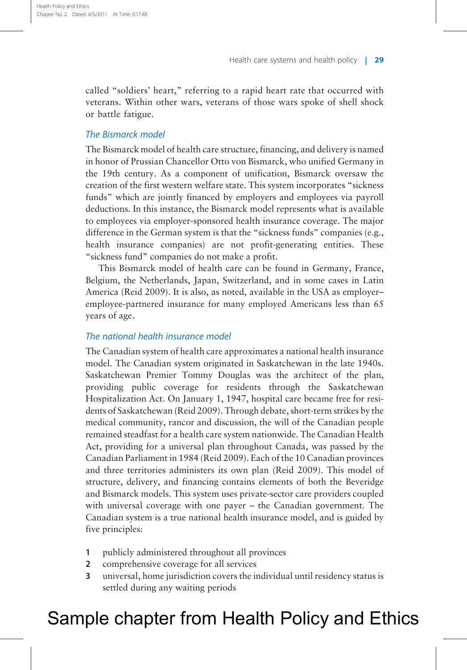called "soldiers' heart," referring to a rapid heart rate that occurred with veterans. Within other wars, veterans of those wars spoke of shell shock or battle fatigue.

#### The Bismarck model

The Bismarck model of health care structure, financing, and delivery is named in honor of Prussian Chancellor Otto von Bismarck, who unified Germany in the 19th century. As a component of unification, Bismarck oversaw the creation of the first western welfare state. This system incorporates "sickness funds" which are jointly financed by employers and employees via payroll deductions. In this instance, the Bismarck model represents what is available to employees via employer-sponsored health insurance coverage. The major difference in the German system is that the "sickness funds" companies (e.g., health insurance companies) are not profit-generating entities. These "sickness fund" companies do not make a profit.

This Bismarck model of health care can be found in Germany, France, Belgium, the Netherlands, Japan, Switzerland, and in some cases in Latin America ([Reid 2009](#page-21-0)). It is also, as noted, available in the USA as employer– employee-partnered insurance for many employed Americans less than 65 years of age.

#### The national health insurance model

The Canadian system of health care approximates a national health insurance model. The Canadian system originated in Saskatchewan in the late 1940s. Saskatchewan Premier Tommy Douglas was the architect of the plan, providing public coverage for residents through the Saskatchewan Hospitalization Act. On January 1, 1947, hospital care became free for residents of Saskatchewan ([Reid 2009](#page-21-0)). Through debate, short-term strikes by the medical community, rancor and discussion, the will of the Canadian people remained steadfast for a health care system nationwide. The Canadian Health Act, providing for a universal plan throughout Canada, was passed by the Canadian Parliament in 1984 [\(Reid 2009\)](#page-21-0). Each of the 10 Canadian provinces and three territories administers its own plan [\(Reid 2009\)](#page-21-0). This model of structure, delivery, and financing contains elements of both the Beveridge and Bismarck models. This system uses private-sector care providers coupled with universal coverage with one payer – the Canadian government. The Canadian system is a true national health insurance model, and is guided by five principles:

- 1 publicly administered throughout all provinces
- 2 comprehensive coverage for all services
- 3 universal, home jurisdiction covers the individual until residency status is settled during any waiting periods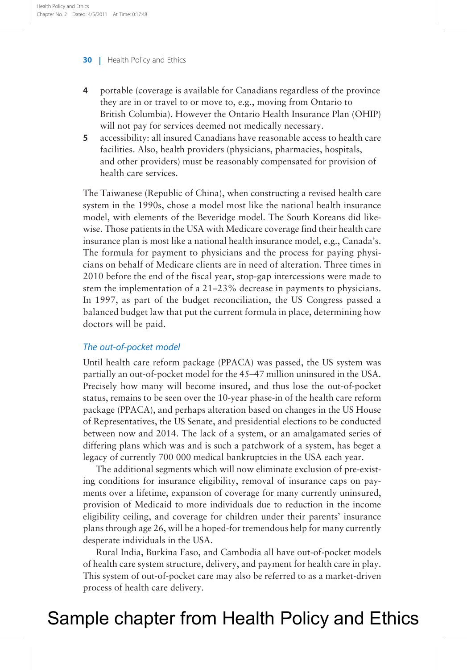- 4 portable (coverage is available for Canadians regardless of the province they are in or travel to or move to, e.g., moving from Ontario to British Columbia). However the Ontario Health Insurance Plan (OHIP) will not pay for services deemed not medically necessary.
- 5 accessibility: all insured Canadians have reasonable access to health care facilities. Also, health providers (physicians, pharmacies, hospitals, and other providers) must be reasonably compensated for provision of health care services.

The Taiwanese (Republic of China), when constructing a revised health care system in the 1990s, chose a model most like the national health insurance model, with elements of the Beveridge model. The South Koreans did likewise. Those patients in the USA with Medicare coverage find their health care insurance plan is most like a national health insurance model, e.g., Canada's. The formula for payment to physicians and the process for paying physicians on behalf of Medicare clients are in need of alteration. Three times in 2010 before the end of the fiscal year, stop-gap intercessions were made to stem the implementation of a 21–23% decrease in payments to physicians. In 1997, as part of the budget reconciliation, the US Congress passed a balanced budget law that put the current formula in place, determining how doctors will be paid.

### The out-of-pocket model

Until health care reform package (PPACA) was passed, the US system was partially an out-of-pocket model for the 45–47 million uninsured in the USA. Precisely how many will become insured, and thus lose the out-of-pocket status, remains to be seen over the 10-year phase-in of the health care reform package (PPACA), and perhaps alteration based on changes in the US House of Representatives, the US Senate, and presidential elections to be conducted between now and 2014. The lack of a system, or an amalgamated series of differing plans which was and is such a patchwork of a system, has beget a legacy of currently 700 000 medical bankruptcies in the USA each year.

The additional segments which will now eliminate exclusion of pre-existing conditions for insurance eligibility, removal of insurance caps on payments over a lifetime, expansion of coverage for many currently uninsured, provision of Medicaid to more individuals due to reduction in the income eligibility ceiling, and coverage for children under their parents' insurance plans through age 26, will be a hoped-for tremendous help for many currently desperate individuals in the USA.

Rural India, Burkina Faso, and Cambodia all have out-of-pocket models of health care system structure, delivery, and payment for health care in play. This system of out-of-pocket care may also be referred to as a market-driven process of health care delivery.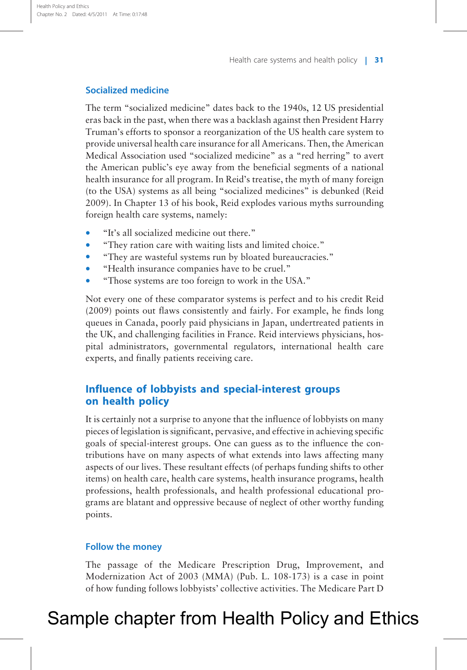#### Socialized medicine

The term "socialized medicine" dates back to the 1940s, 12 US presidential eras back in the past, when there was a backlash against then President Harry Truman's efforts to sponsor a reorganization of the US health care system to provide universal health care insurance for all Americans. Then, the American Medical Association used "socialized medicine" as a "red herring" to avert the American public's eye away from the beneficial segments of a national health insurance for all program. In Reid's treatise, the myth of many foreign (to the USA) systems as all being "socialized medicines" is debunked [\(Reid](#page-21-0) [2009](#page-21-0)). In Chapter 13 of his book, Reid explodes various myths surrounding foreign health care systems, namely:

- \* "It's all socialized medicine out there."
- \* "They ration care with waiting lists and limited choice."
- "They are wasteful systems run by bloated bureaucracies."
- \* "Health insurance companies have to be cruel."
- \* "Those systems are too foreign to work in the USA."

Not every one of these comparator systems is perfect and to his credit [Reid](#page-21-0) [\(2009\)](#page-21-0) points out flaws consistently and fairly. For example, he finds long queues in Canada, poorly paid physicians in Japan, undertreated patients in the UK, and challenging facilities in France. Reid interviews physicians, hospital administrators, governmental regulators, international health care experts, and finally patients receiving care.

### Influence of lobbyists and special-interest groups on health policy

It is certainly not a surprise to anyone that the influence of lobbyists on many pieces of legislation is significant, pervasive, and effective in achieving specific goals of special-interest groups. One can guess as to the influence the contributions have on many aspects of what extends into laws affecting many aspects of our lives. These resultant effects (of perhaps funding shifts to other items) on health care, health care systems, health insurance programs, health professions, health professionals, and health professional educational programs are blatant and oppressive because of neglect of other worthy funding points.

#### Follow the money

The passage of the Medicare Prescription Drug, Improvement, and Modernization Act of 2003 (MMA) (Pub. L. 108-173) is a case in point of how funding follows lobbyists' collective activities. The Medicare Part D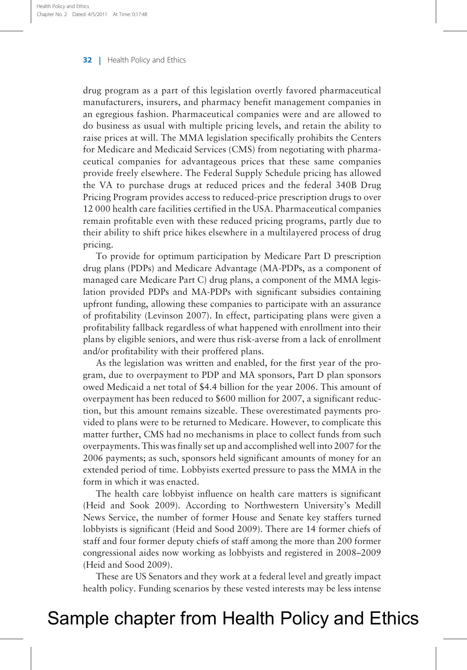drug program as a part of this legislation overtly favored pharmaceutical manufacturers, insurers, and pharmacy benefit management companies in an egregious fashion. Pharmaceutical companies were and are allowed to do business as usual with multiple pricing levels, and retain the ability to raise prices at will. The MMA legislation specifically prohibits the Centers for Medicare and Medicaid Services (CMS) from negotiating with pharmaceutical companies for advantageous prices that these same companies provide freely elsewhere. The Federal Supply Schedule pricing has allowed the VA to purchase drugs at reduced prices and the federal 340B Drug Pricing Program provides access to reduced-price prescription drugs to over 12 000 health care facilities certified in the USA. Pharmaceutical companies remain profitable even with these reduced pricing programs, partly due to their ability to shift price hikes elsewhere in a multilayered process of drug pricing.

To provide for optimum participation by Medicare Part D prescription drug plans (PDPs) and Medicare Advantage (MA-PDPs, as a component of managed care Medicare Part C) drug plans, a component of the MMA legislation provided PDPs and MA-PDPs with significant subsidies containing upfront funding, allowing these companies to participate with an assurance of profitability [\(Levinson 2007](#page-21-0)). In effect, participating plans were given a profitability fallback regardless of what happened with enrollment into their plans by eligible seniors, and were thus risk-averse from a lack of enrollment and/or profitability with their proffered plans.

As the legislation was written and enabled, for the first year of the program, due to overpayment to PDP and MA sponsors, Part D plan sponsors owed Medicaid a net total of \$4.4 billion for the year 2006. This amount of overpayment has been reduced to \$600 million for 2007, a significant reduction, but this amount remains sizeable. These overestimated payments provided to plans were to be returned to Medicare. However, to complicate this matter further, CMS had no mechanisms in place to collect funds from such overpayments. This was finally set up and accomplished well into 2007 for the 2006 payments; as such, sponsors held significant amounts of money for an extended period of time. Lobbyists exerted pressure to pass the MMA in the form in which it was enacted.

The health care lobbyist influence on health care matters is significant (Heid and Sook 2009). According to Northwestern University's Medill News Service, the number of former House and Senate key staffers turned lobbyists is significant ([Heid and Sood 2009](#page-20-0)). There are 14 former chiefs of staff and four former deputy chiefs of staff among the more than 200 former congressional aides now working as lobbyists and registered in 2008–2009 ([Heid and Sood 2009\)](#page-20-0).

These are US Senators and they work at a federal level and greatly impact health policy. Funding scenarios by these vested interests may be less intense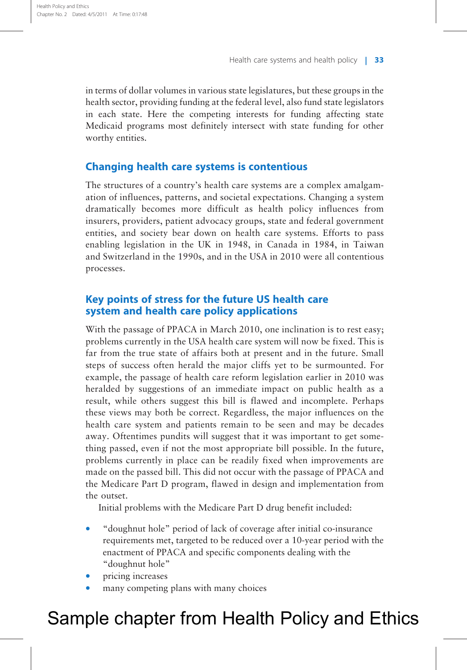in terms of dollar volumes in various state legislatures, but these groups in the health sector, providing funding at the federal level, also fund state legislators in each state. Here the competing interests for funding affecting state Medicaid programs most definitely intersect with state funding for other worthy entities.

### Changing health care systems is contentious

The structures of a country's health care systems are a complex amalgamation of influences, patterns, and societal expectations. Changing a system dramatically becomes more difficult as health policy influences from insurers, providers, patient advocacy groups, state and federal government entities, and society bear down on health care systems. Efforts to pass enabling legislation in the UK in 1948, in Canada in 1984, in Taiwan and Switzerland in the 1990s, and in the USA in 2010 were all contentious processes.

### Key points of stress for the future US health care system and health care policy applications

With the passage of PPACA in March 2010, one inclination is to rest easy; problems currently in the USA health care system will now be fixed. This is far from the true state of affairs both at present and in the future. Small steps of success often herald the major cliffs yet to be surmounted. For example, the passage of health care reform legislation earlier in 2010 was heralded by suggestions of an immediate impact on public health as a result, while others suggest this bill is flawed and incomplete. Perhaps these views may both be correct. Regardless, the major influences on the health care system and patients remain to be seen and may be decades away. Oftentimes pundits will suggest that it was important to get something passed, even if not the most appropriate bill possible. In the future, problems currently in place can be readily fixed when improvements are made on the passed bill. This did not occur with the passage of PPACA and the Medicare Part D program, flawed in design and implementation from the outset.

Initial problems with the Medicare Part D drug benefit included:

- \* "doughnut hole" period of lack of coverage after initial co-insurance requirements met, targeted to be reduced over a 10-year period with the enactment of PPACA and specific components dealing with the "doughnut hole"
- pricing increases
- many competing plans with many choices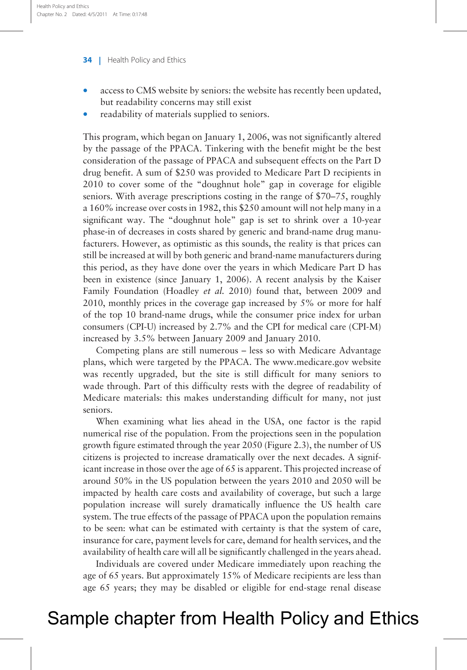- access to CMS website by seniors: the website has recently been updated, but readability concerns may still exist
- readability of materials supplied to seniors.

This program, which began on January 1, 2006, was not significantly altered by the passage of the PPACA. Tinkering with the benefit might be the best consideration of the passage of PPACA and subsequent effects on the Part D drug benefit. A sum of \$250 was provided to Medicare Part D recipients in 2010 to cover some of the "doughnut hole" gap in coverage for eligible seniors. With average prescriptions costing in the range of \$70–75, roughly a 160% increase over costs in 1982, this \$250 amount will not help many in a significant way. The "doughnut hole" gap is set to shrink over a 10-year phase-in of decreases in costs shared by generic and brand-name drug manufacturers. However, as optimistic as this sounds, the reality is that prices can still be increased at will by both generic and brand-name manufacturers during this period, as they have done over the years in which Medicare Part D has been in existence (since January 1, 2006). A recent analysis by the Kaiser Family Foundation [\(Hoadley](#page-20-0) et al. 2010) found that, between 2009 and 2010, monthly prices in the coverage gap increased by 5% or more for half of the top 10 brand-name drugs, while the consumer price index for urban consumers (CPI-U) increased by 2.7% and the CPI for medical care (CPI-M) increased by 3.5% between January 2009 and January 2010.

Competing plans are still numerous – less so with Medicare Advantage plans, which were targeted by the PPACA. The www.medicare.gov website was recently upgraded, but the site is still difficult for many seniors to wade through. Part of this difficulty rests with the degree of readability of Medicare materials: this makes understanding difficult for many, not just seniors.

When examining what lies ahead in the USA, one factor is the rapid numerical rise of the population. From the projections seen in the population growth figure estimated through the year 2050 [\(Figure 2.3\)](#page-11-0), the number of US citizens is projected to increase dramatically over the next decades. A significant increase in those over the age of 65 is apparent. This projected increase of around 50% in the US population between the years 2010 and 2050 will be impacted by health care costs and availability of coverage, but such a large population increase will surely dramatically influence the US health care system. The true effects of the passage of PPACA upon the population remains to be seen: what can be estimated with certainty is that the system of care, insurance for care, payment levels for care, demand for health services, and the availability of health care will all be significantly challenged in the years ahead.

Individuals are covered under Medicare immediately upon reaching the age of 65 years. But approximately 15% of Medicare recipients are less than age 65 years; they may be disabled or eligible for end-stage renal disease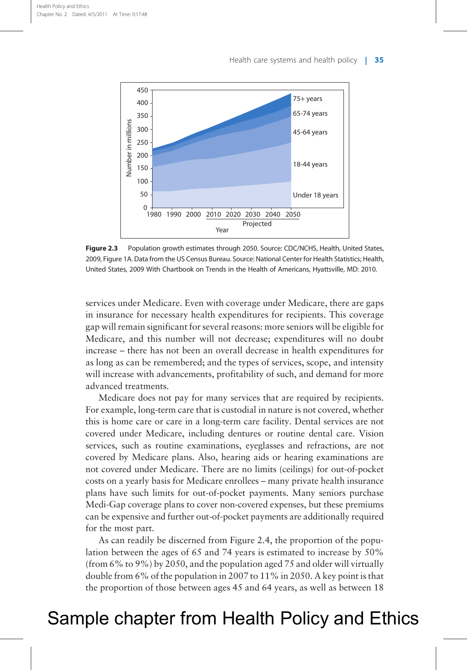<span id="page-11-0"></span>

Figure 2.3 Population growth estimates through 2050. Source: CDC/NCHS, Health, United States, 2009, Figure 1A. Data from the US Census Bureau. Source: National Center for Health Statistics; Health, United States, 2009 With Chartbook on Trends in the Health of Americans, Hyattsville, MD: 2010.

services under Medicare. Even with coverage under Medicare, there are gaps in insurance for necessary health expenditures for recipients. This coverage gap will remain significant for several reasons: more seniors will be eligible for Medicare, and this number will not decrease; expenditures will no doubt increase – there has not been an overall decrease in health expenditures for as long as can be remembered; and the types of services, scope, and intensity will increase with advancements, profitability of such, and demand for more advanced treatments.

Medicare does not pay for many services that are required by recipients. For example, long-term care that is custodial in nature is not covered, whether this is home care or care in a long-term care facility. Dental services are not covered under Medicare, including dentures or routine dental care. Vision services, such as routine examinations, eyeglasses and refractions, are not covered by Medicare plans. Also, hearing aids or hearing examinations are not covered under Medicare. There are no limits (ceilings) for out-of-pocket costs on a yearly basis for Medicare enrollees – many private health insurance plans have such limits for out-of-pocket payments. Many seniors purchase Medi-Gap coverage plans to cover non-covered expenses, but these premiums can be expensive and further out-of-pocket payments are additionally required for the most part.

As can readily be discerned from [Figure 2.4,](#page-12-0) the proportion of the population between the ages of 65 and 74 years is estimated to increase by 50% (from 6% to 9%) by 2050, and the population aged 75 and older will virtually double from 6% of the population in 2007 to 11% in 2050. A key point is that the proportion of those between ages 45 and 64 years, as well as between 18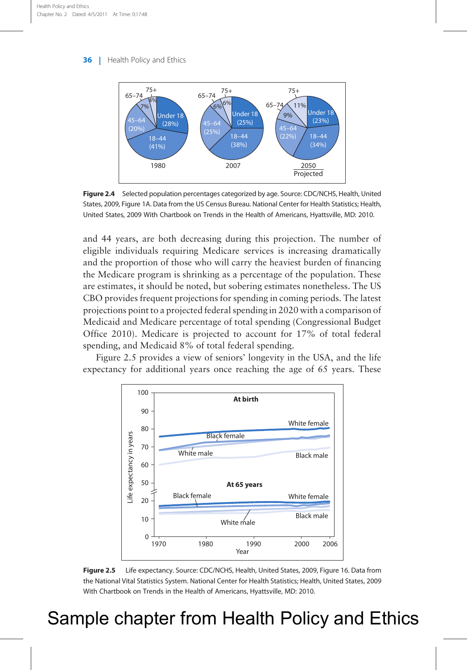<span id="page-12-0"></span>

Figure 2.4 Selected population percentages categorized by age. Source: CDC/NCHS, Health, United States, 2009, Figure 1A. Data from the US Census Bureau. National Center for Health Statistics; Health, United States, 2009 With Chartbook on Trends in the Health of Americans, Hyattsville, MD: 2010.

and 44 years, are both decreasing during this projection. The number of eligible individuals requiring Medicare services is increasing dramatically and the proportion of those who will carry the heaviest burden of financing the Medicare program is shrinking as a percentage of the population. These are estimates, it should be noted, but sobering estimates nonetheless. The US CBO provides frequent projections for spending in coming periods. The latest projections point to a projected federal spending in 2020 with a comparison of Medicaid and Medicare percentage of total spending [\(Congressional Budget](#page-20-0) [Office 2010\)](#page-20-0). Medicare is projected to account for 17% of total federal spending, and Medicaid 8% of total federal spending.

Figure 2.5 provides a view of seniors' longevity in the USA, and the life expectancy for additional years once reaching the age of 65 years. These



Figure 2.5 Life expectancy. Source: CDC/NCHS, Health, United States, 2009, Figure 16. Data from the National Vital Statistics System. National Center for Health Statistics; Health, United States, 2009 With Chartbook on Trends in the Health of Americans, Hyattsville, MD: 2010.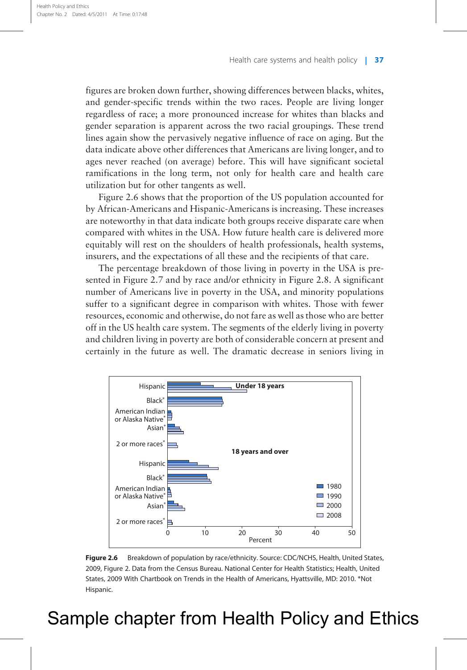figures are broken down further, showing differences between blacks, whites, and gender-specific trends within the two races. People are living longer regardless of race; a more pronounced increase for whites than blacks and gender separation is apparent across the two racial groupings. These trend lines again show the pervasively negative influence of race on aging. But the data indicate above other differences that Americans are living longer, and to ages never reached (on average) before. This will have significant societal ramifications in the long term, not only for health care and health care utilization but for other tangents as well.

Figure 2.6 shows that the proportion of the US population accounted for by African-Americans and Hispanic-Americans is increasing. These increases are noteworthy in that data indicate both groups receive disparate care when compared with whites in the USA. How future health care is delivered more equitably will rest on the shoulders of health professionals, health systems, insurers, and the expectations of all these and the recipients of that care.

The percentage breakdown of those living in poverty in the USA is presented in [Figure 2.7](#page-14-0) and by race and/or ethnicity in [Figure 2.8](#page-14-0). A significant number of Americans live in poverty in the USA, and minority populations suffer to a significant degree in comparison with whites. Those with fewer resources, economic and otherwise, do not fare as well as those who are better off in the US health care system. The segments of the elderly living in poverty and children living in poverty are both of considerable concern at present and certainly in the future as well. The dramatic decrease in seniors living in



Figure 2.6 Breakdown of population by race/ethnicity. Source: CDC/NCHS, Health, United States, 2009, Figure 2. Data from the Census Bureau. National Center for Health Statistics; Health, United States, 2009 With Chartbook on Trends in the Health of Americans, Hyattsville, MD: 2010. \*Not Hispanic.